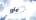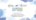



# **Power-to-Methane**<br>Joint Workshop of EBA, GIE and ERGaR

6 September 2017  $10:00 - 17:00$ 

**Renewable Energy House** Rue d'Arlon 63-65, 1040 Brussels

#### 6 September 2017

Lajos Erdelyi, Operational Manager

Hungarian Storage Operation on behalf of GIE Innovation & Strategy Area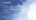# **CONTENT**

1. Why policy should pay attention to renewable gas

- 2. The importance of P2G
- 3. Allowing renewable gasses to be transported across Europe
- 4. EU policy asks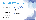## **1. WHY POLICY SHOULD PAY ATTENTION TO RENEWABLE GAS?**

#### **The value of the European gas system**

- The ever increasing share of renewables strains the robustness of the energy system
- The gas system is an important asset in the energy transition as its huge storage capabilities can be used to foster the integration of renewable energy in Europe by coupling the electricity and gas system.
- The gas infrastructure and gas market model are in an ideal position to ensure that renewable gasses can be injected locally but traded and utilised globally

**Enabling renewable gasses can be transported safely throughout EU brings three key advantages:**

- $\checkmark$  Emissions reduction policy objectives
- $\checkmark$  Flexibility
- Cost-efficiency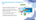### **THE IMPORTANCE OF POWER-TO-GAS**

- Power-to-Gas enables sector coupling, thus foster integration of renewable energy in Europe
- Avoidance of unnecessary investments in new infrastructure and curtailment costs by utilizing the available natural gas grids
- Any other energy storage technology does not allow for such a bulk energy storage
- The possibility of long-term and large-scale surplus electricity storage reduce price volatilities

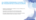#### **ALLOWING RENEWABLE GASSES TO BE TRANSPORTED ACROSS EUROPE**

- Integration of renewable gasses constitutes a new way of "thinking" as it is mostly produced downstream
- Large volumes of renewable gasses will also affect gas quality specifications and thus require a new way of operating the grid
- GIE support initiatives/activities that is aimed at increasing the knowledge of synthetic biomethane related to safe operation of the grid

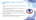### **RENEWABLE GASES – EU POLICY ASKS**

- There is a need for a level playing field between the different renewable solutions
- Continue to bring focus on the challenges that renewable gasses such as power-to-methane are facing
- Promote and ensure political support for R&D and a (regulatory) framework that allows new markets and business models to develop
- European certification scheme to support the cross-border trading of all types of renewable gases
- GIE will continue to exchange views and to promote renewable gases and contribute to the evolution of the EU framework